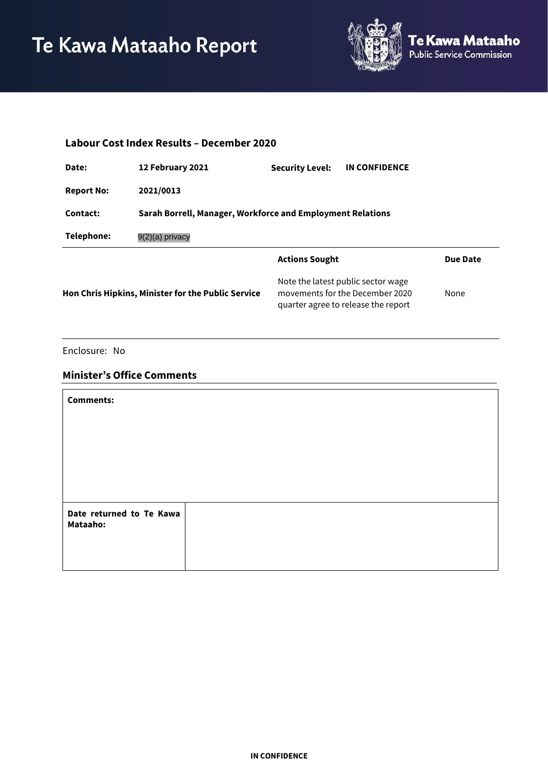

| <b>Labour Cost Index Results - December 2020</b>   |                                                            |                                                                                                              |                 |
|----------------------------------------------------|------------------------------------------------------------|--------------------------------------------------------------------------------------------------------------|-----------------|
| Date:                                              | 12 February 2021                                           | <b>Security Level:</b><br><b>IN CONFIDENCE</b>                                                               |                 |
| <b>Report No:</b>                                  | 2021/0013                                                  |                                                                                                              |                 |
| Contact:                                           | Sarah Borrell, Manager, Workforce and Employment Relations |                                                                                                              |                 |
| <b>Telephone:</b>                                  | 9(2)(a) privacy                                            |                                                                                                              |                 |
|                                                    |                                                            | <b>Actions Sought</b>                                                                                        | <b>Due Date</b> |
|                                                    | Hon Chris Hipkins, Minister for the Public Service         | Note the latest public sector wage<br>movements for the December 2020<br>quarter agree to release the report | None            |
| Enclosure: No<br><b>Minister's Office Comments</b> |                                                            |                                                                                                              |                 |
| <b>Comments:</b>                                   |                                                            |                                                                                                              |                 |
| Date returned to Te Kawa<br>Mataaho:               |                                                            |                                                                                                              |                 |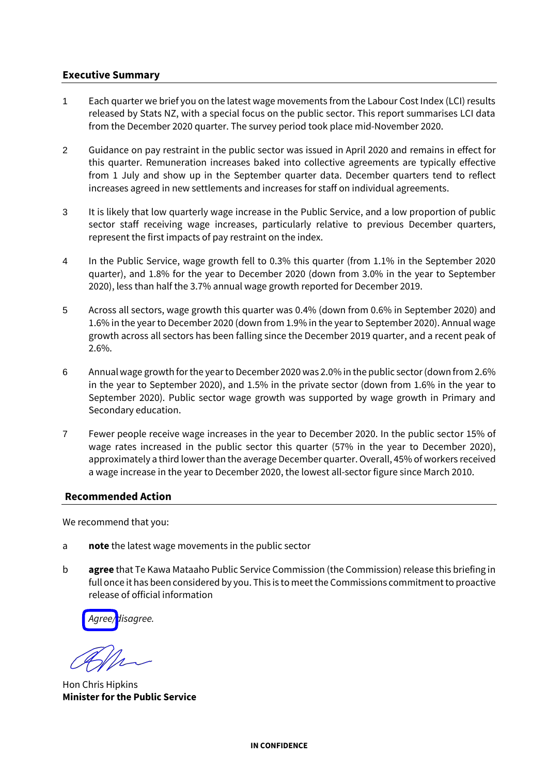# **Executive Summary**

- 1 Each quarter we brief you on the latest wage movements from the Labour Cost Index (LCI) results released by Stats NZ, with a special focus on the public sector. This report summarises LCI data from the December 2020 quarter. The survey period took place mid-November 2020.
- 2 Guidance on pay restraint in the public sector was issued in April 2020 and remains in effect for this quarter. Remuneration increases baked into collective agreements are typically effective from 1 July and show up in the September quarter data. December quarters tend to reflect increases agreed in new settlements and increases for staff on individual agreements.
- 3 It is likely that low quarterly wage increase in the Public Service, and a low proportion of public sector staff receiving wage increases, particularly relative to previous December quarters, represent the first impacts of pay restraint on the index.
- 4 In the Public Service, wage growth fell to 0.3% this quarter (from 1.1% in the September 2020 quarter), and 1.8% for the year to December 2020 (down from 3.0% in the year to September 2020), less than half the 3.7% annual wage growth reported for December 2019.
- 5 Across all sectors, wage growth this quarter was 0.4% (down from 0.6% in September 2020) and 1.6% in the year to December 2020 (down from 1.9% in the year to September 2020). Annual wage growth across all sectors has been falling since the December 2019 quarter, and a recent peak of 2.6%.
- 6 Annual wage growth for the year to December 2020 was 2.0% in the public sector (down from 2.6% in the year to September 2020), and 1.5% in the private sector (down from 1.6% in the year to September 2020). Public sector wage growth was supported by wage growth in Primary and Secondary education.
- 7 Fewer people receive wage increases in the year to December 2020. In the public sector 15% of wage rates increased in the public sector this quarter (57% in the year to December 2020), approximately a third lower than the average December quarter. Overall, 45% of workers received a wage increase in the year to December 2020, the lowest all-sector figure since March 2010.

# **Recommended Action**

We recommend that you:

- a **note** the latest wage movements in the public sector
- b **agree** that Te Kawa Mataaho Public Service Commission (the Commission) release this briefing in full once it has been considered by you. This is to meet the Commissions commitment to proactive release of official information

*Agree/disagree.*

Hon Chris Hipkins **Minister for the Public Service**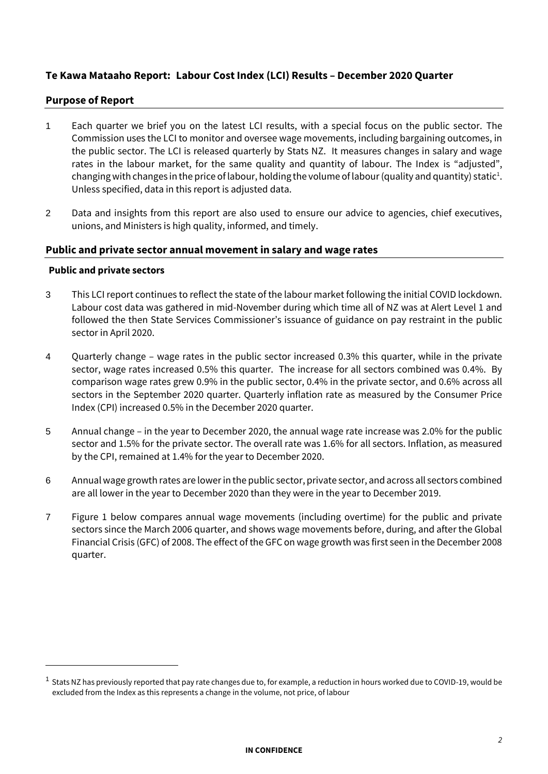# **Te Kawa Mataaho Report: Labour Cost Index (LCI) Results – December 2020 Quarter**

## **Purpose of Report**

- 1 Each quarter we brief you on the latest LCI results, with a special focus on the public sector. The Commission uses the LCI to monitor and oversee wage movements, including bargaining outcomes, in the public sector. The LCI is released quarterly by Stats NZ. It measures changes in salary and wage rates in the labour market, for the same quality and quantity of labour. The Index is "adjusted", changing with changes in the price of labour, holding the volume of labour (quality and quantity) static $^{\rm 1}.$ Unless specified, data in this report is adjusted data.
- 2 Data and insights from this report are also used to ensure our advice to agencies, chief executives, unions, and Ministers is high quality, informed, and timely.

# **Public and private sector annual movement in salary and wage rates**

#### **Public and private sectors**

- 3 This LCI report continues to reflect the state of the labour market following the initial COVID lockdown. Labour cost data was gathered in mid-November during which time all of NZ was at Alert Level 1 and followed the then State Services Commissioner's issuance of guidance on pay restraint in the public sector in April 2020.
- 4 Quarterly change wage rates in the public sector increased 0.3% this quarter, while in the private sector, wage rates increased 0.5% this quarter. The increase for all sectors combined was 0.4%. By comparison wage rates grew 0.9% in the public sector, 0.4% in the private sector, and 0.6% across all sectors in the September 2020 quarter. Quarterly inflation rate as measured by the Consumer Price Index (CPI) increased 0.5% in the December 2020 quarter.
- 5 Annual change in the year to December 2020, the annual wage rate increase was 2.0% for the public sector and 1.5% for the private sector. The overall rate was 1.6% for all sectors. Inflation, as measured by the CPI, remained at 1.4% for the year to December 2020.
- 6 Annual wage growth rates are lowerin the public sector, private sector, and across all sectors combined are all lower in the year to December 2020 than they were in the year to December 2019.
- 7 Figure 1 below compares annual wage movements (including overtime) for the public and private sectors since the March 2006 quarter, and shows wage movements before, during, and after the Global Financial Crisis (GFC) of 2008. The effect of the GFC on wage growth was first seen in the December 2008 quarter.

<sup>1</sup> Stats NZ has previously reported that pay rate changes due to, for example, a reduction in hours worked due to COVID-19, would be excluded from the Index as this represents a change in the volume, not price, of labour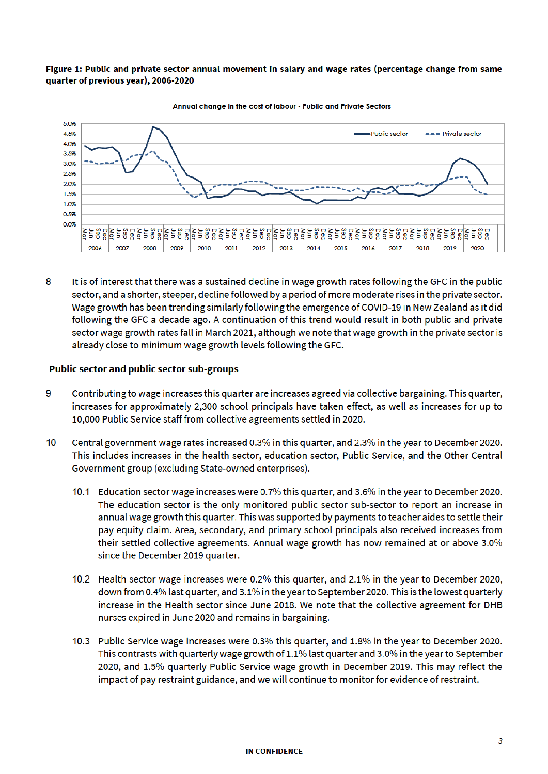#### Figure 1: Public and private sector annual movement in salary and wage rates (percentage change from same quarter of previous year), 2006-2020



Annual change in the cost of labour - Public and Private Sectors

8 It is of interest that there was a sustained decline in wage growth rates following the GFC in the public sector, and a shorter, steeper, decline followed by a period of more moderate rises in the private sector. Wage growth has been trending similarly following the emergence of COVID-19 in New Zealand as it did following the GFC a decade ago. A continuation of this trend would result in both public and private sector wage growth rates fall in March 2021, although we note that wage growth in the private sector is already close to minimum wage growth levels following the GFC.

#### Public sector and public sector sub-groups

- 9 Contributing to wage increases this quarter are increases agreed via collective bargaining. This quarter, increases for approximately 2,300 school principals have taken effect, as well as increases for up to 10,000 Public Service staff from collective agreements settled in 2020.
- Central government wage rates increased 0.3% in this quarter, and 2.3% in the year to December 2020.  $10$ This includes increases in the health sector, education sector, Public Service, and the Other Central Government group (excluding State-owned enterprises).
	- 10.1 Education sector wage increases were 0.7% this quarter, and 3.6% in the year to December 2020. The education sector is the only monitored public sector sub-sector to report an increase in annual wage growth this quarter. This was supported by payments to teacher aides to settle their pay equity claim. Area, secondary, and primary school principals also received increases from their settled collective agreements. Annual wage growth has now remained at or above 3.0% since the December 2019 quarter.
	- 10.2 Health sector wage increases were 0.2% this quarter, and 2.1% in the year to December 2020, down from 0.4% last quarter, and 3.1% in the year to September 2020. This is the lowest quarterly increase in the Health sector since June 2018. We note that the collective agreement for DHB nurses expired in June 2020 and remains in bargaining.
	- 10.3 Public Service wage increases were 0.3% this quarter, and 1.8% in the year to December 2020. This contrasts with quarterly wage growth of 1.1% last quarter and 3.0% in the year to September 2020, and 1.5% quarterly Public Service wage growth in December 2019. This may reflect the impact of pay restraint guidance, and we will continue to monitor for evidence of restraint.

#### **IN CONFIDENCE**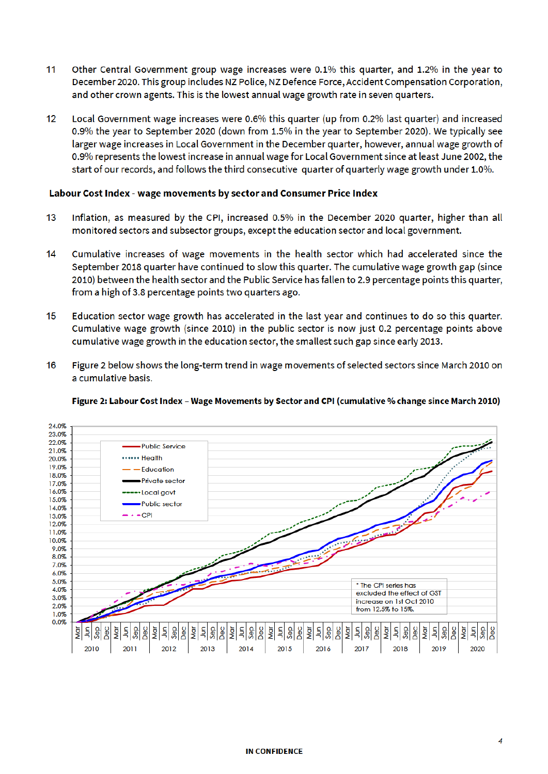- $11$ Other Central Government group wage increases were 0.1% this quarter, and 1.2% in the year to December 2020. This group includes NZ Police, NZ Defence Force, Accident Compensation Corporation, and other crown agents. This is the lowest annual wage growth rate in seven quarters.
- $12<sup>2</sup>$ Local Government wage increases were 0.6% this quarter (up from 0.2% last quarter) and increased 0.9% the year to September 2020 (down from 1.5% in the year to September 2020). We typically see larger wage increases in Local Government in the December quarter, however, annual wage growth of 0.9% represents the lowest increase in annual wage for Local Government since at least June 2002, the start of our records, and follows the third consecutive quarter of quarterly wage growth under 1.0%.

### Labour Cost Index - wage movements by sector and Consumer Price Index

- 13 Inflation, as measured by the CPI, increased 0.5% in the December 2020 quarter, higher than all monitored sectors and subsector groups, except the education sector and local government.
- $14$ Cumulative increases of wage movements in the health sector which had accelerated since the September 2018 quarter have continued to slow this quarter. The cumulative wage growth gap (since 2010) between the health sector and the Public Service has fallen to 2.9 percentage points this quarter, from a high of 3.8 percentage points two quarters ago.
- 15 Education sector wage growth has accelerated in the last year and continues to do so this quarter. Cumulative wage growth (since 2010) in the public sector is now just 0.2 percentage points above cumulative wage growth in the education sector, the smallest such gap since early 2013.
- 16 Figure 2 below shows the long-term trend in wage movements of selected sectors since March 2010 on a cumulative basis.



#### Figure 2: Labour Cost Index - Wage Movements by Sector and CPI (cumulative % change since March 2010)